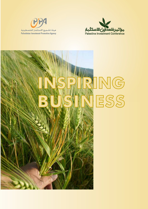



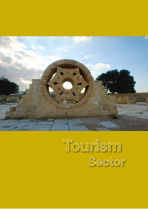

# **Tourism Sector**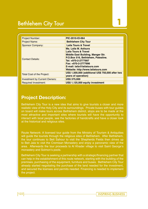# Bethlehem City Tour **1**

| <b>Project Number:</b>               | PIC-2010-IO-064                                                                                                                                                                                                                                               |
|--------------------------------------|---------------------------------------------------------------------------------------------------------------------------------------------------------------------------------------------------------------------------------------------------------------|
| <b>Project Name:</b>                 | <b>Bethlehem City Tour</b>                                                                                                                                                                                                                                    |
| <b>Sponsor Company:</b>              | <b>Laila Tours &amp; Travel</b>                                                                                                                                                                                                                               |
| <b>Contact Details:</b>              | Ms. Laila M. Asfoura<br><b>Laila Tours &amp; Travel</b><br><b>Middle East Building, Manger Str.</b><br>P.O.Box 516, Bethlehem, Palestine.<br>Tel: +970-2-2777997<br>Fax: +970-2-2777996<br>E-mail: laila@lailatours.com<br>Website: http://www.lailatours.com |
| Total Cost of the Project:           | US\$ 1,500,000 (additional US\$ 750,000 after two<br>years of operation)                                                                                                                                                                                      |
| <b>Investment by Current Owners:</b> | <b>US\$ 375,000</b>                                                                                                                                                                                                                                           |
| <b>Required Investment:</b>          | US\$ 1,125,000 equity investment                                                                                                                                                                                                                              |

### **Project Description:**

Bethlehem City Tour is a new idea that aims to give tourists a closer and more realistic view of the Holy City and its surroundings. Private buses with tour guides on board will make tours across Bethlehem district, stops are to be made at the most attractive and important sites where tourists will have the opportunity to interact with local people, see the factories of handcrafts and have a closer look at the historical and religious sites.

Route Network: A licensed tour guide from the Ministry of Tourism & Antiquities will guide the tourists through the religious sites of Bethlehem. After Bethlehem, the tour continues to Beit Sahour to visit the Shepherds Fields then drives up to Beit Jala to visit the Cremisan Monastery and enjoy a panoramic view of the area. Afterwards the tour proceeds to Al Khader village to visit Saint George's monastery and Solmon's pools.

Bethlehem City Tour is seeking a partnership with a strategic/financing partner that can help in the establishment of this route network, starting with the building of the premises, purchasing of the equipment, furniture and buses. Bethlehem City Tour already started negotiating the purchase of the land needed for the investment, and secured the licenses and permits needed. Financing is needed to implement the project.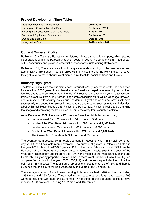#### **Project Development Time Table:**

| Land Development & Improvement                   | <b>June 2010</b> |
|--------------------------------------------------|------------------|
| <b>Building and Construction start Date</b>      | September 2010   |
| <b>Building and Construction Completion Date</b> | August 2011      |
| <b>Furniture &amp; Equipment Procurement</b>     | September 2011   |
| <b>Operations Start Date</b>                     | October 2011     |
| <b>Inauguration Date</b>                         | 24 December 2011 |

#### **Current Owners' Profile:**

Bethlehem City Tours is a Palestinian registered private partnership company, which started its operations within the Palestinian tourism sector in 2007. The company is an integral part of the community and provides essential services for tourists visiting Bethlehem.

Bethlehem City Tours leads visitors to a greater understanding of the true values and authenticity of Bethlehem. Tourists enjoy visiting Palestine and the Holy Sites; moreover they get to know more about Palestinian culture, lifestyle, social settings and history.

#### **Industry Highlights:**

The Palestinian tourism sector is mainly based around the 'pilgrimage' sub-sector; as it has been for more than 2000 years. It also benefits from Palestinian expatriates returning to visit their families and to a lesser extent from 'friends' of Palestine, the latter often young backpackers. Palestine clearly suffers hugely from an image problem and this will take time to change. However nearby markets with security issues such as Jordan, Egypt and of course Israel itself have successfully rebranded themselves in recent years and created successful tourist industries, albeit with much bigger budgets than Palestine is likely to have. Palestine itself started changing the image and promoting the Palestinian tourism sites away from security problems.

As of December 2009, there were 97 hotels in Palestine distributed as following:

- northern West Bank: 7 hotels with 166 rooms and 346 beds
- middle of the West Bank: 26 hotels with 1,083 rooms and 2,465 beds
- the Jerusalem area: 33 hotels with 1,639 rooms and 3,688 beds
- South of the West Bank: 23 hotels with 1,777 rooms and 3,989 beds
- The Gaza Strip: 8 hotels with 321 rooms and 536 beds

The average room occupancy in hotels operating in Palestine was 1,458 hotel rooms per day at 29% of all available rooms available. The number of guests in Palestinian hotels in the year 2009 totaled to 447,025 guests, 13% of them are Palestinians and 35% from the European Union. About 49% of these stayed in Jerusalem hotels, 30% in the south of the West Bank (Bethlehem and Hebron) and 19% in the middle of the West Bank (Jericho and Ramallah). Only a tiny proportion stayed in the northern West Bank or in Gaza. Hotel figures compare favorably with the year 2000 (355,711) and the subsequent decline to the low point of 51,357 in 2002. The 2008 figure represents an occupancy rate of 36%, and there is evidence that this figure will be surpassed by the years of 2010 and 2011.

The average number of employees working in hotels reached 1,648 workers, including 1,398 male and 250 female. Those working in managerial positions have reached 299 workers including 236 male and 63 female, while those in the operating positions have reached 1,349 workers, including 1,162 male and 187 female.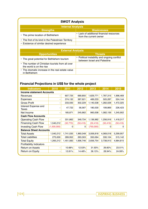#### **SWOT Analysis**

| Internal Analysis                                    |                                                                    |  |  |  |
|------------------------------------------------------|--------------------------------------------------------------------|--|--|--|
| <b>Strengths</b><br><b>Weaknesses</b>                |                                                                    |  |  |  |
| • The prime location of Bethlehem                    | • Lack of additional financial resources<br>from the current owner |  |  |  |
| • The first of its kind in the Palestinian Territory |                                                                    |  |  |  |
| • Existence of similar desired experience            |                                                                    |  |  |  |
|                                                      |                                                                    |  |  |  |

| <b>External Analysis</b>                                                     |                                                                              |  |  |
|------------------------------------------------------------------------------|------------------------------------------------------------------------------|--|--|
| <b>Opportunities</b>                                                         | <b>Threats</b>                                                               |  |  |
| • The great potential for Bethlehem tourism                                  | • Political instability and ongoing conflict<br>between Israel and Palestine |  |  |
| • The number of Christian tourists from all over<br>the world is on the rise |                                                                              |  |  |
| • The dramatic increase in the real estate value<br>in Bethlehem             |                                                                              |  |  |

### **Financial Projections in US\$ for the whole project**

| <b>Indicators</b>                | 2010        | 2011      | 2012      | 2013      | 2014      | 2015      |
|----------------------------------|-------------|-----------|-----------|-----------|-----------|-----------|
| <b>Income statement Accounts</b> |             |           |           |           |           |           |
| Revenues                         | -           | 607,725   | 689,850   | 1,629,771 | 1,787,315 | 1,996,469 |
| Expenses                         | -           | 374,132   | 387,621   | 489,233   | 505,287   | 524,144   |
| Gross Profit                     |             | 233,593   | 302,229   | 1,140,538 | 1,282,028 | 1,472,325 |
| Interest Expense and<br>Taxes    |             | 47,722    | 56,567    | 180,530   | 199,869   | 226,423   |
| Net Income                       | -           | 185,871   | 245,662   | 960,008   | 1,082,159 | 1,245,902 |
| <b>Cash Flow Accounts</b>        |             |           |           |           |           |           |
| <b>Operating Cash Flow</b>       |             | 331,862   | 349,734   | 1,136,982 | 1,256,916 | 1,418,317 |
| <b>Financing Cash Flow</b>       | 1,540,212   | (32, 770) | (50, 416) | (50, 416) | (50, 416) | (50, 416) |
| <b>Investing Cash Flow</b>       | (1,500,000) | $\Omega$  | 0         | (750,000) | 0         | 0         |
| <b>Balance Sheet Accounts</b>    |             |           |           |           |           |           |
| <b>Total Assets</b>              | 1,540,212   | 1,741,035 | 1,960,048 | 3,006,818 | 4,069,018 | 5,299,957 |
| Total Liabilities                | 275,000     | 289,952   | 263,303   | 350,064   | 330,104   | 315,142   |
| <b>Total Equity</b>              | 1,265,212   | 1,451,083 | 1,696,746 | 2,656,754 | 3,738,913 | 4,984,815 |
| <b>Profitability Indicators</b>  |             |           |           |           |           |           |
| Return on Assets                 | -           | 10.68%    | 12.53%    | 31.93%    | 26.60%    | 23.51%    |
| Return on Equity                 | ۰           | 12.81%    | 14.48%    | 36.13%    | 28.94%    | 24.99%    |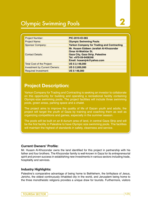# Olympic Swimming Pools **2**

| <b>Project Number:</b>               | PIC-2010-IO-065                                                                                                                                                      |
|--------------------------------------|----------------------------------------------------------------------------------------------------------------------------------------------------------------------|
| <b>Project Name:</b>                 | <b>Olympic Swimming Pools</b>                                                                                                                                        |
| <b>Sponsor Company:</b>              | <b>Yarkon Company for Trading and Contracting</b>                                                                                                                    |
| <b>Contact Details:</b>              | Mr. Husam Eddeen Jarallah Al-Khozondar<br><b>Omar Al-Mokhtar St.</b><br><b>Gaza City, Gaza Strip, Palestine</b><br>Tel: +970-59-9408248<br>Email: hosamjnk@yahoo.com |
| <b>Total Cost of the Project:</b>    | <b>US \$ 2,148,000</b>                                                                                                                                               |
| <b>Investment by Current Owners:</b> | <b>US \$ 2,000,000</b>                                                                                                                                               |
| <b>Required Investment:</b>          | <b>US \$148,000</b>                                                                                                                                                  |

## **Project Description:**

Yarkon Company for Trading and Contracting is seeking an investor to collaborate on this opportunity for building and operating a recreational facility containing Olympic-size swimming pools. The project facilities will include three swimming pools, green areas, parking space and a chalet.

The project aims to improve the quality of life of Gazan youth and adults, the project will target the youth of Gaza by training and coaching them as well as organizing competitions and games, especially in the summer season.

The pools will be built on an 8 dunum area of land, in central Gaza Strip and will be the first facility in Palestine to have Olympic size swimming pools. The facilities will maintain the highest of standards in safety, cleanness and service.

#### **Current Owners' Profile:**

Mr. Husam Al-Khozondar owns the land identified for this project in partnership with his father and four brothers. The Khozondar family is well-known in Gaza for its entrepreneurial spirit and proven success in establishing new investments in various sectors including trade, hospitality and services.

#### **Industry Highlights:**

Palestine's comparative advantage of being home to Bethlehem, the birthplace of Jesus, Jericho, the oldest continuously inhabited city in the world, and Jerusalem being home to the three monotheistic religions provides a unique draw for tourists. Furthermore, visitors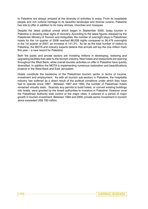to Palestine are always amazed at the diversity of activities to enjoy. From its hospitable people and rich cultural heritage to its beautiful landscape and diverse cuisine, Palestine has lots to offer in addition to its many shrines, churches and mosques.

Despite the latest political unrest which began in September 2000, today tourism in Palestine is showing clear signs of recovery. According to the latest figures released by the Palestinian Ministry of Tourism and Antiquities, the number of overnight stays in Palestinian hotels for the 1st quarter of 2008 reached 88,038 nights compared to 36,479 overnights in the 1st quarter of 2007; an increase of 141.3%. As far as the total number of visitors to Palestine, the MOTA and industry experts believe that arrivals will top the one million mark this year – a new record for Palestine.

Both the public and private sectors are investing millions in developing, restoring and upgrading facilities that cater to the tourism industry. New hotels and restaurants are opening throughout the West Bank, while overall touristic activities on offer in Palestine have quickly diversified. In addition the MOTA is implementing numerous restoration and beautifications projects in the West Bank and East Jerusalem.

Hotels constitute the backbone of the Palestinian tourism sector in terms of income, investment and employment. As with all tourism sub-sectors in Palestine, the hospitality industry has suffered as a direct result of the political conditions under which they have had to operate since 1967. Between 1967 and 1994, the number of Palestinian hotels remained virtually static. Scarcely any permits to build hotels, or convert existing buildings into hotels, were granted by the Israeli authorities to investors in Palestine. However once the Palestinian Authority took control of the major cities, it ushered in a period of major growth in tourism investment. Between 1994 and 2000, private sector investment in tourism alone exceeded US\$ 700 million.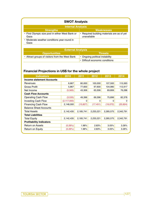| <b>SWOT Analysis</b>                                     |                                                          |  |  |
|----------------------------------------------------------|----------------------------------------------------------|--|--|
| <b>Internal Analysis</b>                                 |                                                          |  |  |
| <b>Strengths</b>                                         | <b>Weaknesses</b>                                        |  |  |
| • First Olympic size pool in either West Bank or<br>Gaza | Required building materials are as of yet<br>unavailable |  |  |
| • Moderate weather conditions year-round in<br>Gaza      |                                                          |  |  |

| <b>External Analysis</b>                        |                                 |  |
|-------------------------------------------------|---------------------------------|--|
| <b>Opportunities</b>                            | <b>Threats</b>                  |  |
| • Attract groups of visitors from the West Bank | • Ongoing political instability |  |
|                                                 | • Difficult economic conditions |  |

# **Financial Projections in US\$ for the whole project**

| <b>Indicators</b>                | 2010          | 2011      | 2012      | 2013      | 2014      |
|----------------------------------|---------------|-----------|-----------|-----------|-----------|
| <b>Income statement Accounts</b> |               |           |           |           |           |
| Revenues                         | 6,667         | 80,000    | 100,000   | 107,500   | 115,563   |
| Gross Profit                     | 5,867         | 77,600    | 97,600    | 104,980   | 112,917   |
| Net Income                       | (5,565)       | 43,306    | 63,306    | 69,806    | 76,288    |
| <b>Cash Flow Accounts</b>        |               |           |           |           |           |
| <b>Operating Cash Flow</b>       | (3,535)       | 49,396    | 69,396    | 75,896    | 82,378    |
| <b>Investing Cash Flow</b>       | (2, 117, 000) | 0         | 0         | 0         | 0         |
| <b>Financing Cash Flow</b>       | 2,148,000     | (15, 827) | (17, 451) | (19,072)  | (20, 824) |
| <b>Balance Sheet Accounts</b>    |               |           |           |           |           |
| <b>Total Assets</b>              | 2,142,435     | 2,185,741 | 2,233,221 | 2,285,575 | 2,342,791 |
| <b>Total Liabilities</b>         |               |           |           |           |           |
| <b>Total Equity</b>              | 2,142,435     | 2,185,741 | 2,233,221 | 2,285,575 | 2,342,791 |
| <b>Profitability Indicators</b>  |               |           |           |           |           |
| Return on Assets                 | (0.26%)       | 1.98%     | 2.83%     | 3.05%     | 3.26%     |
| Return on Equity                 | (0.26%)       | 1.98%     | 2.83%     | 3.05%     | 3.26%     |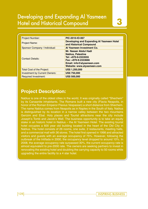# Developing and Expanding Al Yasmeen Hotel and Historical Compound **3**

| <b>Project Number:</b>               | PIC-2010-IO-067                                                                                                                                            |
|--------------------------------------|------------------------------------------------------------------------------------------------------------------------------------------------------------|
| <b>Project Name:</b>                 | <b>Developing and Expanding AI Yasmeen Hotel</b><br>and Historical Compound                                                                                |
| Sponsor Company / Individual:        | Al Yasmeen Investment Co.                                                                                                                                  |
| <b>Contact Details:</b>              | Mr. Nasser Abdul Hadi<br><b>Nablus, Palestine</b><br>Tel: +970-9-2333555<br>Fax: +970-9-2333666<br>Email: info@alyasmeen.com<br>Website: www.alyasmeen.com |
| Total Cost of the Project:           | <b>US\$ 1,250,000</b>                                                                                                                                      |
| <b>Investment by Current Owners:</b> | <b>US\$ 750,000</b>                                                                                                                                        |
| <b>Required Investment:</b>          | <b>US\$ 500,000</b>                                                                                                                                        |

### **Project Description:**

Nablus is one of the oldest cities in the world, It was originally called "Shechem" by its Canaanite inhabitants. The Romans built a new city (Flavia Neapolis, in honor of the Roman Emperor Flavius Vespasian) a short distance from Shechem. The name Nablus comes from Neapolis as in Naples in the South of Italy. Nablus is distinguished by its location in a narrow valley between the two mountains Gerizim and Ebal. Holy places and Tourist attractions near the city include Joseph's Tomb and Jacob's Well. The business opportunity is to take an equity stake in an historic hotel in Nablus – the Al Yasmeen Hotel. The existing tourist hotel occupies a 600 year old building located in the heart of the Old City in Nablus. The hotel consists of 26 rooms, one suite, 2 restaurants, meeting halls, and a commercial mall with 36 stores. The hotel first opened in 1998 and attracted visitors and guests with an average occupancy of 75%. However, following the outbreak of the Intifada in 2000, the occupancy level dropped to around 10%. In 2008, the average occupancy rate surpassed 30%, the current occupancy rate is almost equivalent to pre-2000 rate. The owners are seeking partners to invest in renovating the existing hotel and doubling the carrying capacity to 50 rooms while upgrading the entire facility to a 4 star hotel.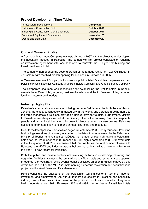#### **Project Development Time Table:**

| Infrastructure Development                       | <b>Completed</b> |
|--------------------------------------------------|------------------|
| <b>Building and Construction Date</b>            | October 2010     |
| <b>Building and Construction Completion Date</b> | October 2011     |
| <b>Furniture &amp; Equipment Procurement</b>     | November 2011    |
| <b>Operations Start Date</b>                     | December 2011    |

#### **Current Owners' Profile:**

Al Yasmeen Investment Company was established in 1997 with the objective of developing the hospitality industry in Palestine. The company's first project consisted of reaching an investment agreement with local landlords to renovate the 600 year old building and transform it into a hotel.

The company then opened the second branch of the famous restaurant "Zeit Ou Zaatar" in Jerusalem; with the third branch opening for business in Ramallah in 2005.

Al Yasmeen Investment Company holds stakes in publicly listed Palestinian companies such as: Palestine Plastic Industries Company, Arab Real Estate Company, and Arab Insurance Company.

The company's chairman was responsible for establishing the first 2 hotels in Nablus, namely the Al Qasr Hotel, targeting business travelers, and the Al Yasmeen Hotel, targeting local and international tourists.

#### **Industry Highlights:**

Palestine's comparative advantage of being home to Bethlehem, the birthplace of Jesus, Jericho, the oldest continuously inhabited city in the world, and Jerusalem being home to the three monotheistic religions provides a unique draw for tourists. Furthermore, visitors to Palestine are always amazed at the diversity of activities to enjoy. From its hospitable people and rich cultural heritage to its beautiful landscape and diverse cuisine, Palestine has lots to offer in addition to its many shrines, churches and mosques.

Despite the latest political unrest which began in September 2000, today tourism in Palestine is showing clear signs of recovery. According to the latest figures released by the Palestinian Ministry of Tourism and Antiquities (MOTA), the number of overnight stays in Palestinian hotels for the 1st quarter of 2008 reached 88,038 nights compared to 36,479 overnights in the 1st quarter of 2007; an increase of 141.3%. As far as the total number of visitors to Palestine, the MOTA and industry experts believe that arrivals will top the one million mark this year – a new record for Palestine.

Both the public and private sectors are investing millions in developing, restoring and upgrading facilities that cater to the tourism industry. New hotels and restaurants are opening throughout the West Bank, while overall touristic activities on offer in Palestine have quickly diversified. In addition the MOTA is implementing numerous restoration and beautifications projects in the West Bank and East Jerusalem.

Hotels constitute the backbone of the Palestinian tourism sector in terms of income, investment and employment. As with all tourism sub-sectors in Palestine, the hospitality industry has suffered as a direct result of the political conditions under which they have had to operate since 1967. Between 1967 and 1994, the number of Palestinian hotels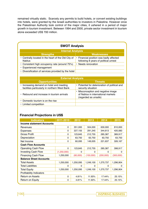remained virtually static. Scarcely any permits to build hotels, or convert existing buildings into hotels, were granted by the Israeli authorities to investors in Palestine. However once the Palestinian Authority took control of the major cities, it ushered in a period of major growth in tourism investment. Between 1994 and 2000, private sector investment in tourism alone exceeded US\$ 700 million.

| <b>SWOT Analysis</b>                                                 |                                                                                  |  |  |
|----------------------------------------------------------------------|----------------------------------------------------------------------------------|--|--|
| <b>Internal Analysis</b>                                             |                                                                                  |  |  |
| <b>Strengths</b>                                                     | <b>Weaknesses</b>                                                                |  |  |
| • Centrally located in the heart of the Old City of<br><b>Nablus</b> | • Financial position was badly affected<br>following 8 years of political unrest |  |  |
| • Consistent high occupancy rate (around 75%)                        | • Needs renovation                                                               |  |  |
| • Experienced management                                             |                                                                                  |  |  |
| • Diversification of services provided by the hotel                  |                                                                                  |  |  |

| <b>External Analysis</b>                                                                  |                                                                                                  |  |  |
|-------------------------------------------------------------------------------------------|--------------------------------------------------------------------------------------------------|--|--|
| <b>Opportunities</b>                                                                      | <b>Threats</b>                                                                                   |  |  |
| • Increasing demand on hotel and meeting<br>facilities particularly in northern West Bank | • Potential for deterioration of political and<br>security situation                             |  |  |
| • Rebound and increase in tourism arrivals                                                | • Misconception and negative image<br>of Nablus in international markets<br>(regarded as unsafe) |  |  |
| • Domestic tourism is on the rise                                                         |                                                                                                  |  |  |
| • Limited competition                                                                     |                                                                                                  |  |  |

#### **Financial Projections in US\$**

| <b>Indicators</b>                | 2011-2010   | 2012      | 2013      | 2014      | 2015      |
|----------------------------------|-------------|-----------|-----------|-----------|-----------|
| <b>Income statement Accounts</b> |             |           |           |           |           |
| Revenues                         | 0           | 351,000   | 504,000   | 630,000   | 810,000   |
| Expenses                         | 0           | 227,155   | 291,245   | 344,613   | 420,083   |
| Gross Profit                     | 0           | 123,845   | 212,755   | 285,387   | 389,917   |
| Depreciation                     | 0           | 63,750    | 63,750    | 63,750    | 63,750    |
| Net Income                       | 0           | 60,095    | 149,005   | 221,637   | 326,167   |
| <b>Cash Flow Accounts</b>        |             |           |           |           |           |
| <b>Operating Cash Flow</b>       | 0           | 123,845   | 212,755   | 285,387   | 398,917   |
| <b>Investing Cash Flow</b>       | (1,250,000) | $\Omega$  | 0         | $\Omega$  | 0         |
| <b>Financing Cash Flow</b>       | 1,250,000   | (60,000)  | (150,000) | (200,000) | (300,000) |
| <b>Balance Sheet Accounts</b>    |             |           |           |           |           |
| <b>Total Assets</b>              | 1,250,000   | 1,250,095 | 1,249,100 | 1,270,737 | 1,296,904 |
| <b>Total Liabilities</b>         | $\Omega$    | $\Omega$  | $\Omega$  | $\Omega$  | $\Omega$  |
| <b>Total Equity</b>              | 1,250,000   | 1,250,095 | 1,249,100 | 1,270,737 | 1,296,904 |
| <b>Profitability Indicators</b>  |             |           |           |           |           |
| <b>Return on Assets</b>          | 0           | 4.81%     | 11.93%    | 17.44%    | 25.15%    |
| Return on Equity                 | 0           | 4.81%     | 11.93%    | 17.44%    | 25.15%    |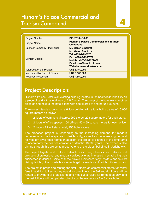# Hisham's Palace Commercial and Tourism Compound **4**

| <b>Project Number:</b>               | PIC-2010-IO-068                                                                                                                                            |
|--------------------------------------|------------------------------------------------------------------------------------------------------------------------------------------------------------|
| <b>Project Name:</b>                 | <b>Hisham's Palace Commercial and Tourism</b><br><b>Compound</b>                                                                                           |
| Sponsor Company / Individual:        | <b>Mr. Mazen Sinokrot</b>                                                                                                                                  |
| <b>Contact Details:</b>              | <b>Mr. Mazen Sinokrot</b><br>Tel: +970-2-2955701<br>Fax: +970-2-2955702<br>Mobile: +970-59-9279006<br>Email: ceo@sinokrot.com<br>Website: www.sinokrot.com |
| <b>Total Cost of the Project:</b>    | <b>US\$ 8,150,000</b>                                                                                                                                      |
| <b>Investment by Current Owners:</b> | <b>US\$ 3,500,000</b>                                                                                                                                      |
| <b>Required Investment:</b>          | <b>US\$ 4,650,000</b>                                                                                                                                      |

# **Project Description:**

Hisham's Palace Hotel is an existing building located in the heart of Jericho City on a piece of land with a total area of 2.5 Dunum. The owner of the hotel owns another piece of land next to the hotel's land with a total area of another 2.5 Dunum.

The owner intends to construct a 6 floor building with a total built up area of 15,000 square meters as follows:

- 1. 2 floors of commercial stores; 250 stores, 20 square meters for each store.
- 2. 2 floors of office spaces;  $\overline{100}$  offices,  $40 50$  square meters for each office.
- 3. 2 floors of  $2 3$  stars hotel; 150 hotel rooms.

The proposed project is responding to the increasing demand for modern commercial and office spaces in Jericho City, as well as the increasing demand for medium-level hotel rooms. In addition, the project is planned at this timeframe to accompany the near celebrations of Jericho 10,000 years. The owner is also aiming through this project to preserve one of the oldest buildings in Jericho city.

The project targets local visitors of Jericho City, foreign tourists, and retailers and providers of professional and medical services who are interested in establishing their businesses in Jericho. Some of these private businesses target visitors and tourists visiting Jericho, other private businesses target the residents of Jericho city and locals.

The project is proposing renting the first 2 floors as commercial stores for rental fees in addition to key money – paid for one time –, the 3rd and 4th floors will be rented to providers of professional and medical services for rental fees only, and the last 2 floors will be operated directly by the owner as a  $2 - 3$  stars hotel.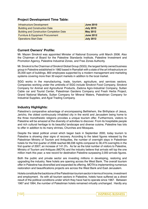#### **Project Development Time Table:**

| Infrastructure Development                       | <b>June 2010</b> |
|--------------------------------------------------|------------------|
| <b>Building and Construction Date</b>            | <b>July 2010</b> |
| <b>Building and Construction Completion Date</b> | <b>May 2012</b>  |
| <b>Furniture &amp; Equipment Procurement</b>     | <b>June 2012</b> |
| <b>Operations Start Date</b>                     | <b>July 2012</b> |

#### **Current Owners' Profile:**

Mr. Mazen Sinokrot was appointed Minister of National Economy until March 2006. Also the Chairman of Board for the Palestine Standards Institute, Palestine Investment and Promotion Agency, Palestine Industrial Zones, and Free Zones Authority.

Mr. Sinokrot is the Chairman of Sinokrot Global Group (SGG); the largest family owned business group in Palestine established in 1982 based in Ramallah with a state of the art infrastructure on 35,000 sqm of buildings, 800 employees supported by a modern management and marketing systems covering more than 30 export markets in addition to the local market.

SGG works in the manufacturing, trade, tourism, agriculture, and services sectors. Companies working under the umbrella of SGG include Sinokrot Food Company, Sinokrot Company for Animal and Agricultural Products, Zadona Agro-Industrial Company, Sultan Cable car and Tourist Center, Palestinian Gardens Company and Fresh Herbs Project, Grand National Markets, Sultan Company for Mineral Waters, Palestinian Company for Industrial Supplies, and Ajyal Trading Company.

#### **Industry Highlights:**

Palestine's comparative advantage of encompassing Bethlehem, the Birthplace of Jesus, Jericho, the oldest continuously inhabited city in the world and Jerusalem being home to the three monotheistic religions provides a unique tourism offer. Furthermore, visitors to Palestine will be amazed at the diversity of activities to discover. From its hospitable people and rich cultural heritage to its beautiful landscape and diverse cuisine, Palestine has lots to offer in addition to its many shrines, Churches and Mosques.

Despite the latest political unrest which began back in September 2000, today tourism to Palestine is showing clear signs of recovery. According to the latest figures released by the Palestinian Ministry of Tourism and Antiquities, the number of overnight stays in Palestinian hotels for the first quarter of 2008 reached 88,038 nights compared to 36,479 overnights in the first quarter of 2007; an increase of 141.3%. As far as the total number of visitors to Palestine, Ministry of Tourism and Antiques (MOTA) and the industry believe that arrivals will top the one million mark this year; a new record for destination Palestine surpassing 2,000 arrivals figures.

Both the public and private sector are investing millions in developing, restoring and upgrading the industry. New hotels are opening across the West Bank. The overall tourism offer in Palestine has diversified and expanded its offering. MOTA is implementing numerous restoration and beautifications projects are across the West Bank and East Jerusalem.

Hotels constitute the backbone of the Palestinian tourism sector in terms of income, investment and employment. As with all tourism sectors in Palestine, hotels have suffered as a direct result of the political conditions under which they have had to operate since 1967. Between 1967 and 1994, the number of Palestinian hotels remained virtually unchanged. Hardly any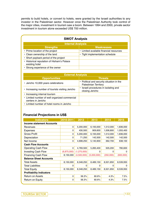permits to build hotels, or convert to hotels, were granted by the Israeli authorities to any investor in the Palestinian sector. However once the Palestinian Authority took control of the major cities, investment in tourism saw a boom. Between 1994 and 2000, private sector investment in tourism alone exceeded US\$ 700 million.

| <b>SWOT Analysis</b>                                         |                                         |  |  |
|--------------------------------------------------------------|-----------------------------------------|--|--|
| <b>Internal Analysis</b>                                     |                                         |  |  |
| <b>Strengths</b>                                             | <b>Weaknesses</b>                       |  |  |
| • Prime location of the project                              | • Limited available financial resources |  |  |
| • Clean ownership of the land                                | Tight implementation schedule           |  |  |
| • Short payback period of the project                        |                                         |  |  |
| • Historical reputation of Hisham's Palace<br>existing hotel |                                         |  |  |
| • Strong experience of the owner                             |                                         |  |  |

| <b>External Analysis</b>                                            |                                                                           |  |  |
|---------------------------------------------------------------------|---------------------------------------------------------------------------|--|--|
| <b>Opportunities</b>                                                | <b>Threats</b>                                                            |  |  |
| • Jericho 10,000 years celebrations                                 | • Political and security situation in the<br><b>Palestinian Territory</b> |  |  |
| • Increasing number of tourists visiting Jericho                    | · Israeli procedures in isolating and<br>closing Jericho                  |  |  |
| • Increasing internal tourism                                       |                                                                           |  |  |
| • Limited number of well organized commercial<br>centers in Jericho |                                                                           |  |  |
| • Limited number of hotel rooms in Jericho                          |                                                                           |  |  |

#### **Financial Projections in US\$**

| <b>Indicators</b>                | 2010-2011   | 2012        | 2013        | 2014      | 2015      |
|----------------------------------|-------------|-------------|-------------|-----------|-----------|
| <b>Income statement Accounts</b> |             |             |             |           |           |
| Revenues                         | 0           | 5,200,000   | 6,193,000   | 1,512,000 | 1,836,000 |
| Expenses                         | 0           | 430,500     | 909,600     | 1,006,800 | 1,055,400 |
| Gross Profit                     | 0           | 5,200,000   | 6,193,000   | 1,512,000 | 1,836,000 |
| Depreciation                     | 0           | 71,250      | 142,500     | 142,500   | 142,500   |
| Net Income                       | 0           | 4,698,250   | 5,140,900   | 362,700   | 638,100   |
| <b>Cash Flow Accounts</b>        |             |             |             |           |           |
| <b>Operating Cash Flow</b>       | 0           | 4,769,500   | 5,283,400   | 505,200   | 780,600   |
| <b>Investing Cash Flow</b>       | (6,875,000) | (1,275,000) | 0           | O         | 0         |
| <b>Financing Cash Flow</b>       | 8,150,000   | (4,500,000) | (5,000,000) | (350,000) | (600,000) |
| <b>Balance Sheet Accounts</b>    |             |             |             |           |           |
| <b>Total Assets</b>              | 8,150,000   | 8,348,250   | 8,489,150   | 8,501,850 | 8,539,950 |
| <b>Total Liabilities</b>         | $\Omega$    | $\Omega$    | 0           | O         | 0         |
| <b>Total Equity</b>              | 8,150,000   | 8,348,250   | 8,489,150   | 8,501,850 | 8,539,950 |
| <b>Profitability Indicators</b>  |             |             |             |           |           |
| <b>Return on Assets</b>          | 0           | 56.3%       | 60.6%       | 4.3%      | 7.5%      |
| Return on Equity                 | 0           | 56.3%       | 60.6%       | 4.3%      | 7.5%      |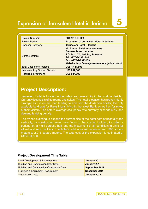# Expansion of Jerusalem Hotel in Jericho **5**

| <b>Project Number:</b>               | PIC-2010-IO-069                                                                                                                                                                                        |
|--------------------------------------|--------------------------------------------------------------------------------------------------------------------------------------------------------------------------------------------------------|
| <b>Project Name:</b>                 | <b>Expansion of Jerusalem Hotel in Jericho</b>                                                                                                                                                         |
| <b>Sponsor Company:</b>              | Jerusalem Hotel - Jericho                                                                                                                                                                              |
| <b>Contact Details:</b>              | <b>Mr. Ahmad Saleh Abu Hommos</b><br><b>Amman Street, Jericho</b><br>P.O. Box: 77, Jericho, Palestine<br>Tel: +970-2-2322444<br>Fax: +970-2-2323109<br>Website: http://www.jerusalemhotel-jericho.com/ |
| <b>Total Cost of the Project:</b>    | US\$ 1,441,808                                                                                                                                                                                         |
| <b>Investment by Current Owners:</b> | <b>US\$ 807,308</b>                                                                                                                                                                                    |
| <b>Required Investment:</b>          | <b>US\$ 634,500</b>                                                                                                                                                                                    |

## **Project Description:**

Jerusalem Hotel is located in the oldest and lowest city in the world – Jericho. Currently it consists of 50 rooms and suites. The hotel's location has proven highly strategic as it is on the road leading to and from the Jordanian border; the only available land port for Palestinians living in the West Bank as well as for many of their visitors. The hotel's average occupancy rate currently exceeds 65%, and demand is rising quickly.

The owner is aiming to expand the current size of the hotel both horizontally and vertically, by constructing seven new floors to the existing building, including a parking lot, a multi-purpose hall, and the installment of air-conditioning units for all old and new facilities. The hotel's total area will increase from 960 square meters to 2,018 square meters. The total cost of the expansion is estimated at US\$ 634,500.

#### **Project Development Time Table:**

| Land Development & Improvement                   | January 2011   |
|--------------------------------------------------|----------------|
| <b>Building and Construction Start Date</b>      | January 2011   |
| <b>Building and Construction Completion Date</b> | September 2011 |
| <b>Furniture &amp; Equipment Procurement</b>     | December 2011  |
| <b>Inauguration Date</b>                         | January 2012   |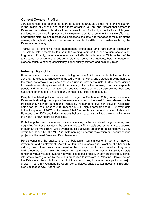#### **Current Owners' Profile:**

Jerusalem Hotel first opened its doors to guests in 1995 as a small hotel and restaurant in the middle of Jericho, one of the most attractive tourism and recreational centers in Palestine. Jerusalem Hotel since then became known for its high quality, top-notch guest services, and competitive prices. As it is close to the center of Jericho, the travelers' lounge, and various historical and recreational attractions, the hotel has managed to maintain strong earnings through all high and low seasons, despite the difficult circumstances facing the Palestinian economy.

Thanks to its extensive hotel management experience and hard-earned reputation, Jerusalem Hotel expects to flourish in the coming years as the local tourism sector is set to grow significantly, thereby increasing visitor traffic through Jericho. With the help of the anticipated renovations and additional planned rooms and facilities, hotel management plans to continue offering consistently higher quality services and be highly rated.

#### **Industry Highlights:**

Palestine's comparative advantage of being home to Bethlehem, the birthplace of Jesus, Jericho, the oldest continuously inhabited city in the world, and Jerusalem being home to the three monotheistic religions provides a unique draw for tourists. Furthermore, visitors to Palestine are always amazed at the diversity of activities to enjoy. From its hospitable people and rich cultural heritage to its beautiful landscape and diverse cuisine, Palestine has lots to offer in addition to its many shrines, churches and mosques.

Despite the latest political unrest which began in September 2000, today tourism in Palestine is showing clear signs of recovery. According to the latest figures released by the Palestinian Ministry of Tourism and Antiquities, the number of overnight stays in Palestinian hotels for the 1st quarter of 2008 reached 88,038 nights compared to 36,479 overnights in the 1st quarter of 2007; an increase of 141.3%. As far as the total number of visitors to Palestine, the MOTA and industry experts believe that arrivals will top the one million mark this year – a new record for Palestine.

Both the public and private sectors are investing millions in developing, restoring and upgrading facilities that cater to the tourism industry. New hotels and restaurants are opening throughout the West Bank, while overall touristic activities on offer in Palestine have quickly diversified. In addition the MOTA is implementing numerous restoration and beautifications projects in the West Bank and East Jerusalem.

Hotels constitute the backbone of the Palestinian tourism sector in terms of income, investment and employment. As with all tourism sub-sectors in Palestine, the hospitality industry has suffered as a direct result of the political conditions under which they have had to operate since 1967. Between 1967 and 1994, the number of Palestinian hotels remained virtually static. Scarcely any permits to build hotels, or convert existing buildings into hotels, were granted by the Israeli authorities to investors in Palestine. However once the Palestinian Authority took control of the major cities, it ushered in a period of major growth in tourism investment. Between 1994 and 2000, private sector investment in tourism alone exceeded US\$ 700 million.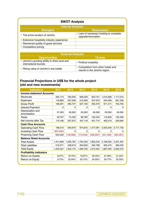| <b>SWOT Analysis</b>                                                  |                                                                      |  |  |
|-----------------------------------------------------------------------|----------------------------------------------------------------------|--|--|
| <b>Internal Analysis</b>                                              |                                                                      |  |  |
| <b>Strengths</b>                                                      | <b>Weaknesses</b>                                                    |  |  |
| • The prime location of Jericho                                       | • Lack of necessary funding to complete<br>upgrade/renovation        |  |  |
| Extensive hospitality industry experience<br>$\bullet$                |                                                                      |  |  |
| Renowned quality of guest services                                    |                                                                      |  |  |
| Competitive pricing                                                   |                                                                      |  |  |
|                                                                       |                                                                      |  |  |
| <b>External Analysis</b>                                              |                                                                      |  |  |
| <b>Opportunities</b>                                                  | <b>Threats</b>                                                       |  |  |
| Jericho's growing ability to draw local and<br>international tourists | • Political instability                                              |  |  |
| Rising value of Jericho's real estate                                 | • Competition from other hotels and<br>resorts in the Jericho region |  |  |

#### **Financial Projections in US\$ for the whole project (old and new investments)**

| <b>Indicators</b>                | 2011       | 2012      | 2013       | 2014       | 2015       | 2016       |
|----------------------------------|------------|-----------|------------|------------|------------|------------|
| <b>Income statement Accounts</b> |            |           |            |            |            |            |
| Revenues                         | 305,174    | 762,935   | 839,229    | 923,151    | 1,015,466  | 1,117,013  |
| Expenses                         | 118,883    | 297,208   | 312,069    | 327,672    | 344,056    | 361,258    |
| <b>Gross Profit</b>              | 186,291    | 465,727   | 527,160    | 595,479    | 671,411    | 755,755    |
| <b>Interest Payment</b>          | 0          | 0         | 0          | 0          | 0          | 0          |
| Depreciation and<br>Amortization | 37,305     | 93,262    | 93,262     | 93,262     | 93,262     | 93,262     |
| Taxes                            | 29,797     | 74,493    | 86,780     | 100,444    | 115,630    | 132,499    |
| Net Income after Tax             | 119,189    | 297,972   | 347,118    | 401,774    | 462,519    | 529,994    |
| <b>Cash Flow Accounts</b>        |            |           |            |            |            |            |
| <b>Operating Cash Flow</b>       | 168,510    | 540,975   | 974,873    | 1,477,091  | 2,055,240  | 2,717,733  |
| <b>Investing Cash Flow</b>       | (634, 500) | 0         | 0          | 0          | 0          | 0          |
| <b>Financing Cash Flow</b>       | 634,500    | (148,986) | (173, 559) | (200, 887) | (231, 260) | (264, 997) |
| <b>Balance Sheet Accounts</b>    |            |           |            |            |            |            |
| <b>Total Assets</b>              | 1,441,808  | 1,590,794 | 1,764,353  | 1,965,240  | 2,196,500  | 2,461,497  |
| <b>Total Liabilities</b>         | 216,271    | 238,619   | 264,653    | 294,786    | 329,475    | 369,225    |
| <b>Total Equity</b>              | 1,225,537  | 1,352,175 | 1,499,700  | 1,670,454  | 1,867,025  | 2,092,272  |
| <b>Profitability Indicators</b>  |            |           |            |            |            |            |
| <b>Return on Assets</b>          | 8.27%      | 18.73%    | 19.67%     | 20.44%     | 21.06%     | 21.53%     |
| Return on Equity                 | 9.73%      | 22.04%    | 23.15%     | 24.05%     | 24.77%     | 25.33%     |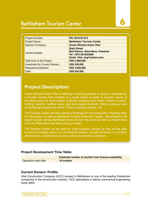# Bethlehem Tourism Center **6**

| <b>Project Number:</b>               | PIC-2010-IO-073                                                                                                       |
|--------------------------------------|-----------------------------------------------------------------------------------------------------------------------|
| Project Name:                        | <b>Bethlehem Tourism Center</b>                                                                                       |
| <b>Sponsor Company:</b>              | <b>Anwar Michael Anton Hilal</b>                                                                                      |
| <b>Contact Details:</b>              | <b>Staih Street</b><br><b>Beit-Sahour, West Bank, Palestine</b><br>Tel: +970-59-9233890<br>Email: hilal_eng@yahoo.com |
| <b>Total Cost of the Project:</b>    | <b>US\$ 2,980,000</b>                                                                                                 |
| <b>Investment by Current Owners:</b> | <b>US\$ 420,000</b>                                                                                                   |
| <b>Required Investment:</b>          | <b>US\$ 2,060,000</b>                                                                                                 |
| Debt:                                | <b>US\$ 500,000</b>                                                                                                   |

### **Project Description:**

Anwar Michael Anton Hilal is seeking a financing partner to assist in establishing a Tourism Center that consists of a trade center to cater to tourists' needs of souvenirs such as local artisan products including olive wood, mother of pearl, knitting, ceramic, leather, silver, gold and copper products, Hebron glass as well as traditional sweets and drinks, locally produced cheese, etc.

The Tourism Center will also include a Heritage Art Hall along with a bowling alley for the tourists as well as Bethlehem's local residents to enjoy. Specifically it will target tourists visiting Bethlehem from all over the world as well as Palestinians from the West Bank and those living in Israel.

The Tourism Center will be ideal for local business owners as they will be able to rent out building space in a centralized location, as well as being in a location which draws a steady stream of tourists and potential customers.

#### **Project Development Time Table:**

|                       | <b>Expected number of months from finance availability</b> |
|-----------------------|------------------------------------------------------------|
| Operations start date | 16 months                                                  |

#### **Current Owners' Profile:**

Hilal Construction Company (HCC) located in Bethlehem is one of the leading Palestinian companies in the construction industry. HCC specializes in electro mechanical engineering since 2003.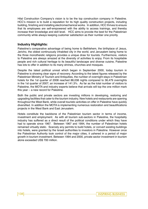Hilal Construction Company's vision is to be the top construction company in Palestine. HCC's mission is to build a reputation for its high quality construction projects, including building, finishing and installing electromechanical works. In addition, HCC thrives to ensure that its employees are self-empowered with the ability to access trainings, and thereby increase their knowledge and skill level. HCC aims to provide the best for the Palestinian community while always keeping customer satisfaction as their number one priority.

#### **Industry Highlights:**

Palestine's comparative advantage of being home to Bethlehem, the birthplace of Jesus, Jericho, the oldest continuously inhabited city in the world, and Jerusalem being home to the three monotheistic religions provides a unique draw for tourists. Furthermore, visitors to Palestine are always amazed at the diversity of activities to enjoy. From its hospitable people and rich cultural heritage to its beautiful landscape and diverse cuisine, Palestine has lots to offer in addition to its many shrines, churches and mosques.

Despite the latest political unrest which began in September 2000, today tourism in Palestine is showing clear signs of recovery. According to the latest figures released by the Palestinian Ministry of Tourism and Antiquities, the number of overnight stays in Palestinian hotels for the 1st quarter of 2008 reached 88,038 nights compared to 36,479 overnights in the 1st quarter of 2007; an increase of 141.3%. As far as the total number of visitors to Palestine, the MOTA and industry experts believe that arrivals will top the one million mark this year – a new record for Palestine.

Both the public and private sectors are investing millions in developing, restoring and upgrading facilities that cater to the tourism industry. New hotels and restaurants are opening throughout the West Bank, while overall touristic activities on offer in Palestine have quickly diversified. In addition the MOTA is implementing numerous restoration and beautifications projects in the West Bank and East Jerusalem.

Hotels constitute the backbone of the Palestinian tourism sector in terms of income, investment and employment. As with all tourism sub-sectors in Palestine, the hospitality industry has suffered as a direct result of the political conditions under which they have had to operate since 1967. Between 1967 and 1994, the number of Palestinian hotels remained virtually static. Scarcely any permits to build hotels, or convert existing buildings into hotels, were granted by the Israeli authorities to investors in Palestine. However once the Palestinian Authority took control of the major cities, it ushered in a period of major growth in tourism investment. Between 1994 and 2000, private sector investment in tourism alone exceeded US\$ 700 million.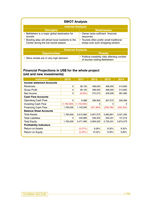#### **SWOT Analysis**

| <b>Internal Analysis</b>                                                      |  |  |  |
|-------------------------------------------------------------------------------|--|--|--|
| <b>Weaknesses</b>                                                             |  |  |  |
| • Owner lacks sufficient financial<br>resources                               |  |  |  |
| • Tourists often prefer small traditional<br>shops over such shopping centers |  |  |  |
|                                                                               |  |  |  |

| <b>External Analysis</b>                |                                                                                        |  |
|-----------------------------------------|----------------------------------------------------------------------------------------|--|
| <b>Opportunities</b>                    | <b>Threats</b>                                                                         |  |
| • Store rentals are in very high demand | $\cdot$ Political instability risks affecting number<br>of tourists visiting Bethlehem |  |

#### **Financial Projections in US\$ for the whole project (old and new investments)**

| <b>Indicators</b>                | 2010        | 2011          | 2012       | 2013      | 2014       |
|----------------------------------|-------------|---------------|------------|-----------|------------|
| <b>Income statement Accounts</b> |             |               |            |           |            |
| Revenues                         | 0           | 28,125        | 468,000    | 468,000   | 514,800    |
| <b>Gross Profit</b>              | 0           | 28,125        | 468,000    | 468,000   | 514,800    |
| Net Income                       | 0           | (8,005)       | 274,515    | 248,358   | 281,696    |
| <b>Cash Flow Accounts</b>        |             |               |            |           |            |
| Operating Cash Flow              | 0           | 9,388         | 338,956    | 307,572   | 335,389    |
| <b>Investing Cash Flow</b>       | (1,760,000) | (1, 150, 000) | 0          | 0         | 0          |
| <b>Financing Cash Flow</b>       | 1,760,000   | 1,143,595     | (251, 864) | (238,786) | (255, 455) |
| <b>Balance Sheet Accounts</b>    |             |               |            |           |            |
| <b>Total Assets</b>              | 1,760,000   | 2,912,983     | 2,957,575  | 2,983,861 | 3,021,295  |
| <b>Total Liabilities</b>         | 0           | 440,989       | 348,323    | 250,431   | 147,016    |
| <b>Total Equity</b>              | 1,760,000   | 2,471,995     | 2,609,252  | 2,733,431 | 2,874,279  |
| <b>Profitability Indicators</b>  |             |               |            |           |            |
| <b>Return on Assets</b>          |             | (0.27%)       | 9.28%      | 8.32%     | 9.32%      |
| Return on Equity                 |             | $(0.32\%)$    | 10.52%     | 9.09%     | 9.80%      |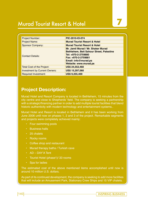# **Murad Tourist Resort & Hotel**

| Project Number:                      | PIC-2010-IO-074                                                                                                                                                                             |
|--------------------------------------|---------------------------------------------------------------------------------------------------------------------------------------------------------------------------------------------|
| Project Name:                        | <b>Murad Tourist Resort &amp; Hotel</b>                                                                                                                                                     |
| <b>Sponsor Company:</b>              | <b>Murad Tourist Resort &amp; Hotel</b>                                                                                                                                                     |
| <b>Contact Details:</b>              | Mr. Jamil Murad / Mr. Shaker Murad<br><b>Bethlehem, Beit Sahour Street, Palestine</b><br>Tel: +970-2-2759880<br>Fax: +970-2-2759881<br>Email: info@murad.ps<br><b>Website: www.murad.ps</b> |
| <b>Total Cost of the Project:</b>    | <b>US\$ 24,552,460</b>                                                                                                                                                                      |
| <b>Investment by Current Owners:</b> | US\$ 15,297,060                                                                                                                                                                             |
| <b>Required Investment:</b>          | <b>US\$ 9,255,400</b>                                                                                                                                                                       |

## **Project Description:**

Murad Hotel and Resort Company is located in Bethlehem, 15 minutes from the city centre and close to Shepherds' field. The company is seeking a partnership with a strategic/financing partner in order to add multiple tourist facilities that blend historic authenticity with modern technology and entertainment systems..

Murad Hotel and Resort is located in Bethlehem and it has been working from June 2006 until now on phases 1, 2 and 3 of the project. Remarkable segments and projects were completely achieved mainly:

- Four swimming pools
- Business halls
- 25 chalets
- Rocky rooms
- Coffee shop and restaurant
- Murad therapy baths / Turkish cave
- AD DAY'A Tent
- Tourist Hotel (phase1)/ 33 rooms
- Spa for ladies

The estimated cost of the above mentioned items accomplished until now is around 10 million U.S. dollars.

As part of its continued development, the company is seeking to add more facilities that will include an Amusement Park, Stationary Crew Ships and 15 VIP chalets.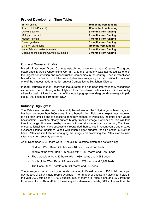#### **Project Development Time Table:**

| 15 VIP chalet                           | 10 months from funding      |
|-----------------------------------------|-----------------------------|
| Tourist Hotel (Phase 2)                 | 12 months from funding      |
| Dancing launch                          | 8 months from funding       |
| Multipurpose hall                       | 9 months from funding       |
| Modern kitchen                          | 4 months from funding       |
| Resort gardens                          | 5 months from funding       |
| Children playground                     | <b>7months from funding</b> |
| Water falls and water fountains         | 4 months from funding       |
| Upgrading the existing Olympic swimming | 3 months from funding       |

#### **Current Owners' Profile:**

Murad's Investment Group Co. was established since more than 30 years. The group established Murad's Undertaking Co. in 1976, this company was accredited as one of the largest construction and reconstruction companies in the country. Then it established Murad's Rent a Car Co. which has recently became an agency for Hyundai Co. for cars and one of the biggest modern tourist rent car Companies at Bethlehem District.

In 2006, Murad's Tourist Resort was inaugurated and has been internationally recognized as premium tourist offering in the Holyland. This Resort was the first of its kind in the country where its basic utilities formed part of the local topography (underground caverns) with paid capital that exceeded 10 million USD.

#### **Industry Highlights:**

The Palestinian tourism sector is mainly based around the 'pilgrimage' sub-sector; as it has been for more than 2000 years. It also benefits from Palestinian expatriates returning to visit their families and to a lesser extent from 'friends' of Palestine, the latter often young backpackers. Palestine clearly suffers hugely from an image problem and this will take time to change. However nearby markets with security issues such as Jordan, Egypt and of course Israel itself have successfully rebranded themselves in recent years and created successful tourist industries, albeit with much bigger budgets than Palestine is likely to have. Palestine itself started changing the image and promoting the Palestinian tourism sites away from security problems.

As of December 2009, there were 97 hotels in Palestine distributed as following:

- Northern West Bank: 7 hotels with 166 rooms and 346 beds
- Middle of the West Bank: 26 hotels with 1,083 rooms and 2,465 beds
- The Jerusalem area: 33 hotels with 1,639 rooms and 3,688 beds
- South of the West Bank: 23 hotels with 1,777 rooms and 3,989 beds
- The Gaza Strip: 8 hotels with 321 rooms and 536 beds

The average room occupancy in hotels operating in Palestine was 1,458 hotel rooms per day at 29% of all available rooms available. The number of guests in Palestinian hotels in the year 2009 totaled to 447,025 guests, 13% of them are Palestinians and 35% from the European Union. About 49% of these stayed in Jerusalem hotels, 30% in the south of the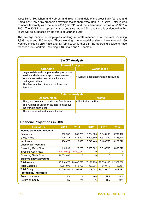West Bank (Bethlehem and Hebron) and 19% in the middle of the West Bank (Jericho and Ramallah). Only a tiny proportion stayed in the northern West Bank or in Gaza. Hotel figures compare favorably with the year 2000 (355,711) and the subsequent decline of 51,357 in 2002. The 2008 figure represents an occupancy rate of 36%, and there is evidence that this figure will be surpassed by the years of 2010 and 2011.

The average number of employees working in hotels reached 1,648 workers, including 1,398 male and 250 female. Those working in managerial positions have reached 299 workers including 236 male and 63 female, while those in the operating positions have reached 1,349 workers, including 1,162 male and 187 female.

| <b>SWOT Analysis</b>                                                                                                                                             |                                          |  |  |  |
|------------------------------------------------------------------------------------------------------------------------------------------------------------------|------------------------------------------|--|--|--|
| <b>Internal Analysis</b>                                                                                                                                         |                                          |  |  |  |
| <b>Strengths</b>                                                                                                                                                 | <b>Weaknesses</b>                        |  |  |  |
| • Large variety and comprehensive products and<br>services which include sport, entertainment,<br>tourism, recreation and educational and<br>heritage activities | • Lack of additional financial resources |  |  |  |
| • The Resort is first of its kind in Palestine<br>Territory                                                                                                      |                                          |  |  |  |

| <b>External Analysis</b>                                                     |                         |  |
|------------------------------------------------------------------------------|-------------------------|--|
| <b>Opportunities</b>                                                         | <b>Threats</b> '        |  |
| • The great potential of tourism in Bethlehem                                | • Political instability |  |
| • The number of Christian tourists from all over<br>the world is on the rise |                         |  |
| • The increase in the domestic tourism                                       |                         |  |

#### **Financial Projections in US\$**

| <b>Indicators</b>                | 2010        | 2011        | 2012       | 2013       | 2014       |
|----------------------------------|-------------|-------------|------------|------------|------------|
| <b>Income statement Accounts</b> |             |             |            |            |            |
| Revenues                         | 759,732     | 835,705     | 5,204,000  | 5,646,200  | 5,737,410  |
| Gross Profit                     | 405,273     | 445,800     | 3,909,540  | 4,321,850  | 4,383,170  |
| Net Income                       | 108,475     | 119,323     | 2,748,440  | 3,160,750  | 3,222,070  |
| <b>Cash Flow Accounts</b>        |             |             |            |            |            |
| <b>Operating Cash Flow</b>       | 113,899     | 125,289     | 2,885,862  | 3,318,788  | 3,383,073  |
| <b>Investing Cash Flow</b>       | (6,610,000) | (6,610,000) | 0          | 0          | 0          |
| <b>Financing Cash Flow</b>       | 14,552,460  | 0           | 0          | 0          | 0          |
| <b>Balance Sheet Accounts</b>    |             |             |            |            |            |
| <b>Total Assets</b>              | 16,718,475  | 23,447,798  | 26,196,238 | 29,356,988 | 32,579,058 |
| <b>Total Liabilities</b>         | 1,051,892   | 946,703     | 937,236    | 843,512    | 759,161    |
| <b>Total Equity</b>              | 15,666,583  | 22,501,095  | 25,259,002 | 28,513,476 | 31,819,897 |
| <b>Profitability Indicators</b>  |             |             |            |            |            |
| <b>Return on Assets</b>          | 1%          | 1%          | 10%        | 11%        | 10%        |
| Return on Equity                 | 1%          | $1\%$       | 11%        | 11%        | 10%        |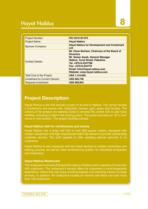# Hayat Nablus **8**

| <b>Project Number:</b>               | PIC-2010-IO-075                                                                                                                                                                                                                                           |
|--------------------------------------|-----------------------------------------------------------------------------------------------------------------------------------------------------------------------------------------------------------------------------------------------------------|
| <b>Project Name:</b>                 | <b>Hayat Nablus</b>                                                                                                                                                                                                                                       |
| <b>Sponsor Company:</b>              | <b>Hayat Nablus for Development and Investment</b><br><b>Ltd</b>                                                                                                                                                                                          |
| <b>Contact Details:</b>              | Mr. Omar Barham, Chairman of the Board of<br><b>Directors</b><br>Mr. Samer Atyah, General Manager<br><b>Nablus, Tunis Street, Palestine</b><br>Tel: +970-9-2347788<br>Fax: +970-9-234776<br>Email: Info@hayat-nablus.com<br>Website: www.hayat-nablus.com |
| Total Cost of the Project:           | <b>US\$ 1,144,600</b>                                                                                                                                                                                                                                     |
| <b>Investment by Current Owners:</b> | <b>US\$ 583,746</b>                                                                                                                                                                                                                                       |
| <b>Required Investment:</b>          | <b>US\$ 560,854</b>                                                                                                                                                                                                                                       |

### **Project Description:**

Hayat Nablus is the first touristic project of its kind in Nablus. The venue houses a conference and events hall, restaurant, terrace, gym, pools and nursery. The owners of the project are seeking funds to develop the centre and to add more facilities, including a hotel in the coming years. The center provides an "all in one" venue in one location. The project facilities include:

#### **Hayat Nablus Hall for conferences and events**

Hayat Nablus has a large hall that is over 800 square meters, equipped with modern equipment and high experienced staff fully trained to provide outstanding customer service. The staff capable to offer wedding planner services to its customers.

Hayat Nablus is also equipped with the latest devices to enable workshops and training courses, as well as video conferencing system, for interested companies and institutions.

#### **Hayat Nablus Restaurant**

The restaurant overlooks the beautiful nature of Nablus with a capacity of more than 400 customers. The restaurant's terrace offers its customers a none-forgettable experience, where they can enjoy smoking Argeela and watching movies on large screens. In addition, the restaurant houses an internal hall which can host more than 150 customers.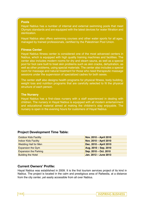#### **Pools**

Hayat Nablus has a number of internal and external swimming pools that meet Olympic standards and are equipped with the latest devices for water filtration and sterilization.

Hayat Nablus also offers swimming courses and other water sports for all ages, managed by trained professionals, certified by the Palestinian Pool Union.

#### **Fitness Center**

Hayat Nablus fitness center is considered one of the most advanced centers in Nablus, which is equipped with high quality training machines and facilities. The center also includes modern rooms for dry and steam sauna, as well as a special pool for foot care built to treat skin problems such as skin cracks, dehydration, as well as other problems, using special materials. The center also includes a special room for massage and natural treatment for those who need therapeutic massage sessions under the supervision of specialized cadres for both sexes.

The center staff also designs health programs for physical fitness, body building, weight loss and nutrition programs that are carefully selected to fit the physical structure of each person.

#### **The Nursery**

Hayat Nablus has a first-class nursery with a staff experienced in dealing with children. The nursery in Hayat Nablus is equipped with all modern entertainment and educational material aimed at making the children's stay enjoyable. The nursery is open in the evening hours for customers of Hayat Nablus.

#### **Project Development Time Table:**

| <b>Outdoor Kids Facility</b> | Nov. 2010 - April 2010 |
|------------------------------|------------------------|
| <b>Indoor Kids Facility</b>  | Nov. 2010 - April 2010 |
| <b>Wedding Hall for Men</b>  | Dec. 2010 - April 2010 |
| <b>Expansion the Gym</b>     | Aug. 2010 - Sep. 2010  |
| <b>Expansion the Parking</b> | Sep. 2010 - Oct. 2010  |
| <b>Building the Hotel</b>    | Jan. 2012 - June 2013  |

#### **Current Owners' Profile:**

Hayat Nablus was established in 2009. It is the first tourism services project of its kind in Nablus. The project is located in the calm and prestigious area of Rafeedia, at a distance from the city center, yet easily accessible from all over Nablus.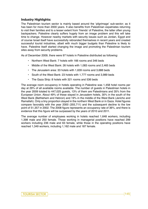#### **Industry Highlights:**

The Palestinian tourism sector is mainly based around the 'pilgrimage' sub-sector; as it has been for more than 2000 years. It also benefits from Palestinian expatriates returning to visit their families and to a lesser extent from 'friends' of Palestine, the latter often young backpackers. Palestine clearly suffers hugely from an image problem and this will take time to change. However nearby markets with security issues such as Jordan, Egypt and of course Israel itself have successfully rebranded themselves in recent years and created successful tourist industries, albeit with much bigger budgets than Palestine is likely to have. Palestine itself started changing the image and promoting the Palestinian tourism sites away from security problems.

As of December 2009, there were 97 hotels in Palestine distributed as following:

- Northern West Bank: 7 hotels with 166 rooms and 346 beds
- Middle of the West Bank: 26 hotels with 1,083 rooms and 2,465 beds
- The Jerusalem area: 33 hotels with 1,639 rooms and 3,688 beds
- South of the West Bank: 23 hotels with 1,777 rooms and 3,989 beds
- The Gaza Strip: 8 hotels with 321 rooms and 536 beds

The average room occupancy in hotels operating in Palestine was 1,458 hotel rooms per day at 29% of all available rooms available. The number of guests in Palestinian hotels in the year 2009 totaled to 447,025 guests, 13% of them are Palestinians and 35% from the European Union. About 49% of these stayed in Jerusalem hotels, 30% in the south of the West Bank (Bethlehem and Hebron) and 19% in the middle of the West Bank (Jericho and Ramallah). Only a tiny proportion stayed in the northern West Bank or in Gaza. Hotel figures compare favorably with the year 2000 (355,711) and the subsequent decline to the low point of 51,357 in 2002. The 2008 figure represents an occupancy rate of 36%, and there is evidence that this figure will be surpassed by the years of 2010 and 2011.

The average number of employees working in hotels reached 1,648 workers, including 1,398 male and 250 female. Those working in managerial positions have reached 299 workers including 236 male and 63 female, while those in the operating positions have reached 1,349 workers, including 1,162 male and 187 female.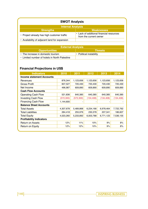| <b>SWOT Analysis</b>                          |                                                                    |  |  |
|-----------------------------------------------|--------------------------------------------------------------------|--|--|
| <b>Internal Analysis</b>                      |                                                                    |  |  |
| <b>Strengths</b>                              | <b>Weaknesses</b>                                                  |  |  |
| • Project already has high customer traffic   | • Lack of additional financial resources<br>from the current owner |  |  |
| • Availability of adjacent land for expansion |                                                                    |  |  |

| <b>External Analysis</b>                      |                                       |  |  |
|-----------------------------------------------|---------------------------------------|--|--|
| <b>Opportunities</b>                          | $\blacksquare$ Threats $\blacksquare$ |  |  |
| • The increase in domestic tourism            | $\cdot$ Political instability         |  |  |
| • Limited number of hotels in North Palestine |                                       |  |  |

### **Financial Projections in US\$**

| <b>Indicators</b>                | 2010<br>2011 |            | 2012       | 2013       | 2014       |  |  |
|----------------------------------|--------------|------------|------------|------------|------------|--|--|
| <b>Income statement Accounts</b> |              |            |            |            |            |  |  |
| Revenues                         | 876,344      | 1,123,656  | 1,123,656  | 1,123,656  | 1,123,656  |  |  |
| <b>Gross Profit</b>              | 607,527      | 720,430    | 720,430    | 720,430    | 720,430    |  |  |
| Net Income                       | 496,987      | 609,890    | 609,890    | 609,890    | 609,890    |  |  |
| <b>Cash Flow Accounts</b>        |              |            |            |            |            |  |  |
| Operating Cash Flow              | 521,836      | 640,385    | 640,385    | 640,385    | 640,385    |  |  |
| Investing Cash Flow              | (572, 300)   | (572, 300) | (134, 408) | (134, 408) | (134, 408) |  |  |
| <b>Financing Cash Flow</b>       | 1,144,600    |            |            |            |            |  |  |
| <b>Balance Sheet Accounts</b>    |              |            |            |            |            |  |  |
| <b>Total Assets</b>              | 4,307,678    | 5,489,868  | 6,234,166  | 6,978,464  | 7,722,762  |  |  |
| <b>Total Liabilities</b>         | 284,418      | 255,976    | 230,378    | 207,341    | 186,607    |  |  |
| <b>Total Equity</b>              | 4,023,260    | 5,233,892  | 6,003,788  | 6,771,123  | 7,536,155  |  |  |
| <b>Profitability Indicators</b>  |              |            |            |            |            |  |  |
| <b>Return on Assets</b>          | 12%          | 11%        | 10%        | 9%         | 8%         |  |  |
| Return on Equity                 | 12%          | 12%        | 10%        | 9%         | 8%         |  |  |
|                                  |              |            |            |            |            |  |  |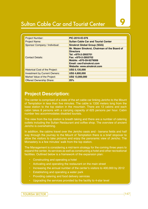# Sultan Cable Car and Tourist Center **9**

| <b>Project Number:</b>                 | PIC-2010-IO-076                                                                                                                                                                                   |
|----------------------------------------|---------------------------------------------------------------------------------------------------------------------------------------------------------------------------------------------------|
| Project Name:                          | <b>Sultan Cable Car and Tourist Center</b>                                                                                                                                                        |
| Sponsor Company / Individual:          | <b>Sinokrot Global Group (SGG)</b>                                                                                                                                                                |
| <b>Contact Details:</b>                | Mr. Mazen Sinokrot, Chairman of the Board of<br><b>Directors</b><br>Tel: +970-2-2955701<br>Fax: +970-2-2955702<br>Mobile: +970-59-9279006<br>Email: ceo@sinokrot.com<br>Website: www.sinokrot.com |
| <b>Historical Cost of the Project:</b> | <b>US\$ 5,135,000</b>                                                                                                                                                                             |
| <b>Investment by Current Owners:</b>   | <b>US\$ 4,600,000</b>                                                                                                                                                                             |
| Market Value of the Project:           | <b>US\$ 13,000,000</b>                                                                                                                                                                            |
| <b>Offered Ownership Share:</b>        | 25%                                                                                                                                                                                               |

### **Project Description:**

The center is comprised of a state of the art cable car linking Jericho to the Mount of Temptation in less than five minutes. The cable is 1330 meters long from the base station to the top station in the mountain. There are 12 cabins and each cabin takes 8 persons with a carrying capacity of 625 persons per hour. Cabin number two accommodates disabled tourists.

The view from the top station is breath taking and there are a number of catering outlets including the Sultan Restaurant and coffee shop. The overview of ancient Jericho is overwhelming.

In addition, the cabins travel over the Jericho oasis and - banana fields and half way through the journey to the Mount of Temptation there is a brief stopover to allow the visitors to take pictures and enjoy the panoramic view of Jericho. The Monastery is a few minutes' walk from the top station.

The Management is considering a mid-term strategy for the coming three years to expand the center, its services as well as constructing a hotel and other recreational facilities. Outlined below is a framework of the expansion plan:

- Constructing and operating a hotel
- Activating and operating the restaurant on the main street
- Increasing the annual number of the center's visitors to 400,000 by 2012
- Establishing and operating a water park
- Providing catering and food delivery services
- Upgrading the services provided by the facility to 4-star level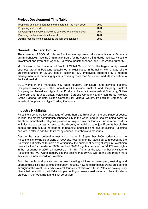#### **Project Development Time Table:**

| Preparing and start operation the restaurant in the main street     | 2010 |
|---------------------------------------------------------------------|------|
| Preparing water park                                                | 2011 |
| Developing the level of all facilities services to four stars level | 2012 |
| Finishing the hotel construction work                               | 2011 |
| Adding food delivering service to the facilities services           | 2010 |

#### **Currenttt Owners' Profile:**

The chairman of SGG, Mr. Mazen Sinokrot was appointed Minister of National Economy until March 2006. Also the Chairman of Board for the Palestine Standards Institute, Palestine Investment and Promotion Agency, Palestine Industrial Zones, and Free Zones Authority.

Mr. Sinokrot is the Chairman of Sinokrot Global Group (SGG); the largest family owned business group in Palestine established in 1982 based in Ramallah with a state of the art infrastructure on 35,000 sqm of buildings, 800 employees supported by a modern management and marketing systems covering more than 30 export markets in addition to the local market.

SGG works in the manufacturing, trade, tourism, agriculture, and services sectors. Companies working under the umbrella of SGG include Sinokrot Food Company, Sinokrot Company for Animal and Agricultural Products, Zadona Agro-Industrial Company, Sultan Cable car and Tourist Center, Palestinian Gardens Company and Fresh Herbs Project, Grand National Markets, Sultan Company for Mineral Waters, Palestinian Company for Industrial Supplies, and Ajyal Trading Company.

#### **Industry Highlights:**

Palestine's comparative advantage of being home to Bethlehem, the birthplace of Jesus, Jericho, the oldest continuously inhabited city in the world, and Jerusalem being home to the three monotheistic religions provides a unique draw for tourists. Furthermore, visitors to Palestine are always amazed at the diversity of activities to enjoy. From its hospitable people and rich cultural heritage to its beautiful landscape and diverse cuisine, Palestine has lots to offer in addition to its many shrines, churches and mosques.

Despite the latest political unrest which began in September 2000, today tourism in Palestine is showing clear signs of recovery. According to the latest figures released by the Palestinian Ministry of Tourism and Antiquities, the number of overnight stays in Palestinian hotels for the 1st quarter of 2008 reached 88,038 nights compared to 36,479 overnights in the 1st quarter of 2007; an increase of 141.3%. As far as the total number of visitors to Palestine, the MOTA and industry experts believe that arrivals will top the one million mark this year – a new record for Palestine.

Both the public and private sectors are investing millions in developing, restoring and upgrading facilities that cater to the tourism industry. New hotels and restaurants are opening throughout the West Bank, while overall touristic activities on offer in Palestine have quickly diversified. In addition the MOTA is implementing numerous restoration and beautifications projects in the West Bank and East Jerusalem.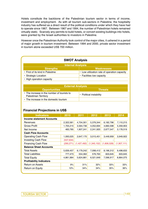Hotels constitute the backbone of the Palestinian tourism sector in terms of income, investment and employment. As with all tourism sub-sectors in Palestine, the hospitality industry has suffered as a direct result of the political conditions under which they have had to operate since 1967. Between 1967 and 1994, the number of Palestinian hotels remained virtually static. Scarcely any permits to build hotels, or convert existing buildings into hotels, were granted by the Israeli authorities to investors in Palestine.

However once the Palestinian Authority took control of the major cities, it ushered in a period of major growth in tourism investment. Between 1994 and 2000, private sector investment in tourism alone exceeded US\$ 700 million.

| <b>SWOT Analysis</b>             |                                              |  |  |
|----------------------------------|----------------------------------------------|--|--|
| <b>Internal Analysis</b>         |                                              |  |  |
| <b>Strengths</b>                 | <b>Weaknesses</b>                            |  |  |
| • First of its kind in Palestine | • Low utilization rate of operation capacity |  |  |
| • Strategic Location             | • Facilities low capacity                    |  |  |
| • High operation capacity        |                                              |  |  |
|                                  |                                              |  |  |

| <u>l External Analysis </u>                                                 |                         |  |  |
|-----------------------------------------------------------------------------|-------------------------|--|--|
| <b>Opportunities</b>                                                        | <b>Threats</b>          |  |  |
| • The increase in the number of tourists to<br><b>Palestinian Territory</b> | • Political instability |  |  |
| • The increase in the domestic tourism                                      |                         |  |  |

#### **Financial Projections in US\$**

| <b>Indicators</b>                | 2010       | 2011        | 2012          | 2013        | 2014        |  |  |
|----------------------------------|------------|-------------|---------------|-------------|-------------|--|--|
| <b>Income statement Accounts</b> |            |             |               |             |             |  |  |
| Revenues                         | 2,322,581  | 4,704,301   | 5,376,344     | 6,182,796   | 7,110,215   |  |  |
| Gross Profit                     | 1,705,215  | 3,564,736   | 4,052,694     | 4,660,598   | 5,359,903   |  |  |
| Net Income                       | 483,785    | 1,907,241   | 2,241,920     | 2,677,547   | 3,178,519   |  |  |
| <b>Cash Flow Accounts</b>        |            |             |               |             |             |  |  |
| <b>Operating Cash Flow</b>       | 1,093,025  | 2,647,170   | 3,015,451     | 3,449,959   | 3,949,922   |  |  |
| <b>Investing Cash Flow</b>       | (537, 634) |             |               |             |             |  |  |
| <b>Financing Cash Flow</b>       | (290, 271) | (1,427,492) | (1, 345, 152) | (1,606,528) | (1,907,111) |  |  |
| <b>Balance Sheet Accounts</b>    |            |             |               |             |             |  |  |
| <b>Total Assets</b>              | 5,639,457  | 6,179,242   | 7,098,412     | 8,196,312   | 9,498,633   |  |  |
| <b>Total Liabilities</b>         | 777,473    | 554,362     | 576,763       | 603,645     | 603,645     |  |  |
| <b>Total Equity</b>              | 4,861,984  | 5,624,881   | 6,521,649     | 7,596,917   | 8,864,075   |  |  |
| <b>Profitability Indicators</b>  |            |             |               |             |             |  |  |
| <b>Return on Assets</b>          | 9%         | 31%         | 32%           | 33%         | 33%         |  |  |
| Return on Equity                 | 10%        | 34%         | 34%           | 35%         | 36%         |  |  |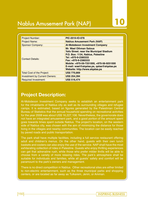# Nablus Amusement Park (NAP) **10**

| <b>Project Number:</b>               | PIC-2010-IO-078                                                                                                                                                                                                                                                                               |
|--------------------------------------|-----------------------------------------------------------------------------------------------------------------------------------------------------------------------------------------------------------------------------------------------------------------------------------------------|
| <b>Project Name:</b>                 | <b>Nablus Amusement Park (NAP)</b>                                                                                                                                                                                                                                                            |
| <b>Sponsor Company:</b>              | <b>Al-Mobdeoon Investment Company</b>                                                                                                                                                                                                                                                         |
| <b>Contact Details:</b>              | <b>Mr. Wael Othman Salous</b><br><b>Yafo Street. near the Municipal Stadium</b><br>P.O. Box: 1134, Nablus, Palestine<br>Tel: +970-9-2380333<br>Fax: +970-9-2380333<br>Mobile: +970-59-7251000, +970-56-9251000<br>E-mail: wael@alqalaa.ps, qalaa@alqalaa.ps<br>Website: http://www.algalaa.ps |
| Total Cost of the Project:           | <b>US\$ 770,869</b>                                                                                                                                                                                                                                                                           |
| <b>Investment by Current Owners:</b> | <b>US\$ 254,394</b>                                                                                                                                                                                                                                                                           |
| <b>Required Investment:</b>          | <b>US\$ 516,474</b>                                                                                                                                                                                                                                                                           |

# **Project Description:**

Al-Mobdeoon Investment Company seeks to establish an entertainment park for the inhabitants of Nablus city as well as its surrounding villages and refugee camps. It is estimated, based on figures generated by the Palestinian Central Bureau of Statistics that the annual household spending on recreational activities for the year 2008 was about US\$ 16,227,106. Nevertheless, the governorate does not have an integrated amusement park, and a good portion of the amount spent goes towards times spent outside Nablus. The project's location, on the western side of Nablus city, was chosen with the aim of minimizing the distance for those living in the villages and nearby communities. The location can be easily reached by paved roads and public transportation.

The park shall have multiple facilities, including a full service restaurant offering adult and children's menus. On the other hand, guests with their own lunch baskets and coolers can also enjoy the use of the service. NAP shall have the most exhilarating collection of rides in Palestine. Guests who enjoy thrilling experiences can get that adrenaline rush, while those who prefer milder thrills will be able to choose from a variety of more relaxing rides. The park's atmosphere shall be suitable for individuals and families, while all guests' safety and comfort will be paramount to the park's owners and management.

There is no direct competition in Nablus. Other recreational sites are either limited to non-electric entertainment, such as the three municipal parks and shopping centers, or are located as far away as Tulkarem, Jenin, or Amman.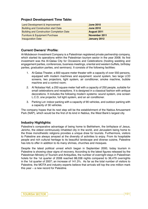#### **Project Development Time Table:**

| Land Development & Improvement                   | <b>June 2010</b>   |
|--------------------------------------------------|--------------------|
| <b>Building and Construction start Date</b>      | <b>June 2010</b>   |
| <b>Building and Construction Completion Date</b> | <b>August 2011</b> |
| <b>Furniture &amp; Equipment Purchase</b>        | November 2011      |
| <b>Inauguration Date</b>                         | January 2012       |

#### **Current Owners' Profile:**

Al-Mobdeoon Investment Company is a Palestinian registered private partnership company, which started its operations within the Palestinian tourism sector in the year 2008. Its first investment was the Al-Qalaa City for Occasions and Celebrations (hosting wedding and engagement parties, conferences, business meetings, oriental and western buffets, birthday parties, graduation parties, and seminars). It consists of the following facilities:

- 1. Al-Qalaa Theater, a 600 square meter theater with a capacity of over 550 persons, equipped with modern machines and equipment: sound system, two large LCD screens, two projectors, light system, air conditioner, smoke machine, bubble machine and a control room;
- 2. Al Nobalaa Hall, a 250 square meter hall with a capacity of 250 people, suitable for small celebrations and receptions. It is designed in a classical fashion with antique decorations. It includes the following modern systems: sound system, one screen L.C.D, one projector, full light system, and an air conditioner.
- 3. Parking Lot: indoor parking with a capacity of 90 vehicles, and outdoor parking with a capacity of 30 vehicles.

The company hopes that its next step will be the establishment of the Nablus Amusement Park (NAP), which would be the first of its kind in Nablus, the West Bank's largest city.

#### **Industry Highlights:**

Palestine's comparative advantage of being home to Bethlehem, the birthplace of Jesus, Jericho, the oldest continuously inhabited city in the world, and Jerusalem being home to the three monotheistic religions provides a unique draw for tourists. Furthermore, visitors to Palestine are always amazed at the diversity of activities to enjoy. From its hospitable people and rich cultural heritage to its beautiful landscape and diverse cuisine, Palestine has lots to offer in addition to its many shrines, churches and mosques.

Despite the latest political unrest which began in September 2000, today tourism in Palestine is showing clear signs of recovery. According to the latest figures released by the Palestinian Ministry of Tourism and Antiquities, the number of overnight stays in Palestinian hotels for the 1st quarter of 2008 reached 88,038 nights compared to 36,479 overnights in the 1st quarter of 2007; an increase of 141.3%. As far as the total number of visitors to Palestine, the MOTA and industry experts believe that arrivals will top the one million mark this year – a new record for Palestine.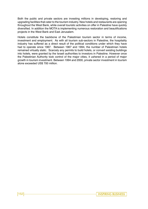Both the public and private sectors are investing millions in developing, restoring and upgrading facilities that cater to the tourism industry. New hotels and restaurants are opening throughout the West Bank, while overall touristic activities on offer in Palestine have quickly diversified. In addition the MOTA is implementing numerous restoration and beautifications projects in the West Bank and East Jerusalem.

Hotels constitute the backbone of the Palestinian tourism sector in terms of income, investment and employment. As with all tourism sub-sectors in Palestine, the hospitality industry has suffered as a direct result of the political conditions under which they have had to operate since 1967. Between 1967 and 1994, the number of Palestinian hotels remained virtually static. Scarcely any permits to build hotels, or convert existing buildings into hotels, were granted by the Israeli authorities to investors in Palestine. However once the Palestinian Authority took control of the major cities, it ushered in a period of major growth in tourism investment. Between 1994 and 2000, private sector investment in tourism alone exceeded US\$ 700 million.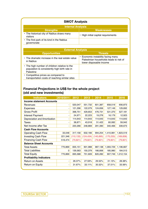| <b>SWOT Analysis</b>                                      |                                   |  |  |  |
|-----------------------------------------------------------|-----------------------------------|--|--|--|
| <b>Internal Analysis</b>                                  |                                   |  |  |  |
| <b>Strengths</b>                                          | <b>Weaknesses</b>                 |  |  |  |
| • The historical city of Nablus draws many<br>visitors    | High initial capital requirements |  |  |  |
| • The first park of its kind in the Nablus<br>governorate |                                   |  |  |  |

| <b>External Analysis</b>                                                                                   |                                                                                                          |  |  |
|------------------------------------------------------------------------------------------------------------|----------------------------------------------------------------------------------------------------------|--|--|
| <b>Opportunities</b>                                                                                       | <b>Threats</b>                                                                                           |  |  |
| • The dramatic increase in the real estate value<br>in Nablus                                              | • Economic instability facing many<br>Palestinian households leads to risk of<br>lower disposable income |  |  |
| • The high number of children relative to the<br>population & consistently high birth rate in<br>Palestine |                                                                                                          |  |  |
| • Competitive prices as compared to<br>transportation costs of reaching similar sites                      |                                                                                                          |  |  |

#### **Financial Projections in US\$ for the whole project (old and new investments)**

| <b>Indicators</b>                | 2010/2011                    | 2012       | 2013       | 2014       | 2015       | 2016       |  |
|----------------------------------|------------------------------|------------|------------|------------|------------|------------|--|
| <b>Income statement Accounts</b> |                              |            |            |            |            |            |  |
| Revenues                         | $\qquad \qquad \blacksquare$ | 520,047    | 551,732    | 601,387    | 658,519    | 656,873    |  |
| Expenses                         | -                            | 121,296    | 122,079    | 124,656    | 127,149    | 129,692    |  |
| <b>Gross Profit</b>              | ٠                            | 398,751    | 429,653    | 476,731    | 531,370    | 527,181    |  |
| Interest Payment                 | $\qquad \qquad \blacksquare$ | 24,971     | 22,223     | 19,276     | 16,179     | 12,923     |  |
| Depreciation and Amortization    | ٠                            | 114,643    | 114,643    | 114,643    | 114,643    | 114,643    |  |
| Taxes                            | -                            | 38,871     | 43,918     | 51,422     | 60,082     | 59,942     |  |
| Net Income after Tax             | $\qquad \qquad \blacksquare$ | 220,266    | 248,869    | 291,390    | 340,466    | 339,673    |  |
| <b>Cash Flow Accounts</b>        |                              |            |            |            |            |            |  |
| <b>Operating Cash Flow</b>       | 33,048                       | 317,156    | 632,166    | 994,254    | 1,410,981  | 1,823,519  |  |
| <b>Investing Cash Flow</b>       | 221,346                      | (110, 133) | (124, 434) | (145, 695) | (170, 233) | (169, 836) |  |
| <b>Financing Cash Flow</b>       | 516,474                      | (70, 821)  | (79, 821)  | (79, 821)  | (79, 821)  | (79, 821)  |  |
| <b>Balance Sheet Accounts</b>    |                              |            |            |            |            |            |  |
| <b>Total Assets</b>              | 770,869                      | 835,151    | 901,988    | 987,138    | 1,093,729  | 1,196,667  |  |
| Total Liabilities                | 0                            | 139,563    | 150,379    | 166,856    | 185,980    | 184,513    |  |
| <b>Total Equity</b>              | 770,869                      | 695,588    | 751,609    | 820,282    | 907,749    | 1,012,154  |  |
| <b>Profitability Indicators</b>  |                              |            |            |            |            |            |  |
| Return on Assets                 | $\blacksquare$               | 26.37%     | 27.59%     | 29.52%     | 31.13%     | 28.38%     |  |
| Return on Equity                 | $\blacksquare$               | 31.67%     | 33.11%     | 35.52%     | 37.51%     | 33.56%     |  |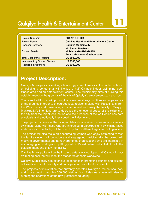# **Qalqilya Health & Entertainment Center**

| <b>Project Number:</b>               | PIC-2010-IO-079                                                                  |
|--------------------------------------|----------------------------------------------------------------------------------|
| <b>Project Name:</b>                 | <b>Qalqilya Health and Entertainment Center</b>                                  |
| <b>Sponsor Company:</b>              | <b>Qalqilya Municipality</b>                                                     |
| <b>Contact Details:</b>              | <b>Mr. Samer Dwabash</b><br>Mobile: +970-59-7916585<br>Email: abdalmom@yahoo.com |
| <b>Total Cost of the Project:</b>    | <b>US \$600,000</b>                                                              |
| <b>Investment by Current Owners:</b> | <b>US \$300,000</b>                                                              |
| <b>Required Investment:</b>          | <b>US \$300,000</b>                                                              |

## **Project Description:**

Qalqilya Municipality is seeking a financing partner to assist in the implementation of building a venue that will include a half Olympic indoor swimming pool, fitness area and an entertainment center. The Municipality aims at building this establishment on the grounds of the city of Qalqilya's amusement park and zoo.

The project will focus on improving the overall services, conditions and appearance of the grounds in order to encourage local residents along with Palestinians from the West Bank and those living in Israel to visit and enjoy the facility. Qalqilya Municipality's intentions are to decrease the emotional stress of the citizens of the city from the Israeli occupation and the presence of the wall which has both physically and emotionally imprisoned the Palestinians.

The projects customers will be mainly athletes who are either processional or amateur swimmers along with those who are interested in participating in swimming races and contests. This facility will be open to public of different ages and both genders.

The project will also focus on encouraging women who enjoy swimming to visit the facility since it will be indoors and segregated. Additionally, the project will motivate governmental and nongovernmental organizations who are interested in encouraging, educating and uplifting youth in Palestine to conduct field trips to the establishment and enjoy the facility.

Qalqilya Municipality will be the first to create a fully equipped half Olympic indoor swimming pool that will meet the standards of pools worldwide.

Qalqilya Municipality has extensive experience in promoting tourists and citizens of Palestine to visit their city and participate in their cities local events.

The project's administration that currently operates Qalqilya's recreational park and zoo accepting roughly 300,000 visitors from Palestine a year will also be running the operations of the newly established facility.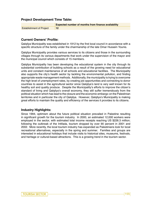#### **Project Development Time Table:**

|                                 | <b>Expected number of months from finance availability</b> |
|---------------------------------|------------------------------------------------------------|
| <b>Establishment of Project</b> |                                                            |

#### **Current Owners' Profile:**

Qalqilya Municipality was established in 1912 by the first local council in accordance with a specific structure of the family under the chairmanship of the late Omar Hussein Younis.

Qalqilya Municipality provides various services to its citizens and those in the surrounding villages through its various departments that work under the supervision of the mayor and the municipal council which consists of 15 members.

Qalqilya Municipality has been developing the educational system in the city through its substantial contribution of building schools as a result of the growing need for educational units and constant maintenance of all schools and educational facilities. The Municipality also supports the city's health sector by tackling the environmental pollution, and finding appropriate waste management methods. Additionally, the municipality is trying to overcome the high level of unemployment rates, by creating job opportunities and connecting to donor countries to assist in the agricultural sector since Qalqilya's land is very well known for its healthy soil and quality produce. Despite the Municipality's efforts to improve the citizen's standard of living and Qalqilya's overall economy, they still suffer tremendously from the political situation which has lead to the closure and the economic embargo on the Palestinian territories and in particular the city of Qalqilya. However, Qalqilya's Municipality is making great efforts to maintain the quality and efficiency of the services it provides to its citizens.

#### **Industry Highlights:**

Since 1994, optimism about the future political situation prevailed in Palestine resulting in significant growth for the tourism industry. In 2000, an estimated 12,000 workers were employed in the sector, with estimated total income receipts reaching US \$226.3 million; following the outbreak of the Intifada, tourism dropped by over 90 percent in 2001 and 2002. More recently, the local tourism industry has expanded as Palestinians look for local recreational alternatives, especially in the spring and summer. Families and groups are interested in educational holidays that include visits to historical sites, museums, festivals, and heritage or cultural-based attractions. This is a growing trend in the tourism sector.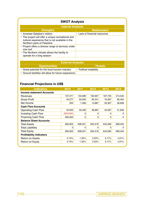| <b>SWOT Analysis</b>                                                                                                                  |                               |  |  |
|---------------------------------------------------------------------------------------------------------------------------------------|-------------------------------|--|--|
| <b>Internal Analysis</b>                                                                                                              |                               |  |  |
| <b>Strengths</b>                                                                                                                      | <b>Weaknesses</b>             |  |  |
| • Increase Qalqilya's visitors                                                                                                        | • Lack of financial resources |  |  |
| • The project will offer a unique recreational and<br>cultural experience that is not available in the<br>Northern parts of Palestine |                               |  |  |
| • Project offers a diverse range of services under<br>one roof                                                                        |                               |  |  |
| • The Northern climate allows the facility to<br>operate for a long season                                                            |                               |  |  |

| <b>External Analysis</b>                             |                         |  |  |
|------------------------------------------------------|-------------------------|--|--|
| <b>Opportunities</b>                                 | <b>Threats</b>          |  |  |
| • Great potential for the local tourism industry     | • Political instability |  |  |
| • Ground facilities will allow for future expansions |                         |  |  |

### **Financial Projections in US\$**

| 107,271                         |          |          |                           |         |  |  |  |  |
|---------------------------------|----------|----------|---------------------------|---------|--|--|--|--|
|                                 |          |          | Income statement Accounts |         |  |  |  |  |
|                                 | 134,089  | 160,907  | 187,725                   | 214,542 |  |  |  |  |
| 40,277                          | 50,284   | 60,341   | 70,397                    | 80,454  |  |  |  |  |
| 925                             | 7,406    | 13,887   | 20,367                    | 26,848  |  |  |  |  |
|                                 |          |          |                           |         |  |  |  |  |
| 25,925                          | 32,406   | 38,887   | 45,367                    | 51,848  |  |  |  |  |
| (500,000)                       | $\Omega$ | $\Omega$ | $\Omega$                  | 0       |  |  |  |  |
| 600,000                         | 0        | 0        | 0                         | 0       |  |  |  |  |
| <b>Balance Sheet Accounts</b>   |          |          |                           |         |  |  |  |  |
| 600,925                         | 608,331  | 622,218  | 642,585                   | 669,434 |  |  |  |  |
| $\Omega$                        | 0        | $\Omega$ | $\Omega$                  | 0       |  |  |  |  |
| 600,925                         | 608,331  | 622,218  | 642,585                   | 669,434 |  |  |  |  |
| <b>Profitability Indicators</b> |          |          |                           |         |  |  |  |  |
| 0.15%                           | 1.22%    | 2.23%    | 3.17%                     | 4.01%   |  |  |  |  |
| 0.15%                           | 1.22%    | 2.23%    | 3.17%                     | 4.01%   |  |  |  |  |
|                                 |          |          |                           |         |  |  |  |  |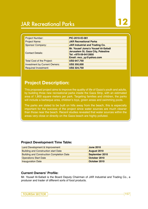# **JAR Recreational Parks**

| <b>Project Number:</b>               | PIC-2010-IO-081                                                                                                             |
|--------------------------------------|-----------------------------------------------------------------------------------------------------------------------------|
| <b>Project Name:</b>                 | <b>JAR Recreational Parks</b>                                                                                               |
| <b>Sponsor Company:</b>              | <b>JAR Industrial and Trading Co.</b>                                                                                       |
| <b>Contact Details:</b>              | Mr. Yousef Joma'a Yousef Al-Safadi<br>Jerusalem St, Gaza City, Palestine<br>Tel: +970-59-9412850<br>Email: mcc_yy@yahoo.com |
| <b>Total Cost of the Project:</b>    | <b>US\$ 647,750</b>                                                                                                         |
| <b>Investment by Current Owners:</b> | <b>US\$ 350,000</b>                                                                                                         |
| <b>Required Investment:</b>          | <b>US\$ 324,750</b>                                                                                                         |

# **Project Description:**

This proposed project aims to improve the quality of life of Gaza's youth and adults, by building three new recreational parks inside the Gaza Strip, with an estimated area of 1,800 square meters per park. Targeting families and children, the parks will include a barbeque area, children's toys, green areas and swimming pools.

The parks are slated to be built on hills away from the beach, this is especially important for the success of the project since water sources are much cleaner than those near the beach. Recent studies revealed that water sources within the areas very close or directly on the Gaza beach are highly polluted.

#### **Project Development Time Table:**

| Land Development & Improvement                   | <b>June 2010</b>   |
|--------------------------------------------------|--------------------|
| <b>Building and Construction start Date</b>      | <b>August 2010</b> |
| <b>Building and Construction Completion Date</b> | September 2010     |
| <b>Operations Start Date</b>                     | October 2010       |
| <b>Inauguration Date</b>                         | October 2010       |

#### **Current Owners' Profile:**

Mr. Yousef Al-Safadi is the Board Deputy Chairman of JAR Industrial and Trading Co., a producer and trader of different sorts of food products.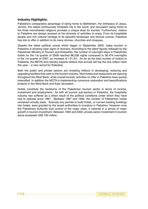#### **Industry Highlights:**

Palestine's comparative advantage of being home to Bethlehem, the birthplace of Jesus, Jericho, the oldest continuously inhabited city in the world, and Jerusalem being home to the three monotheistic religions provides a unique draw for tourists. Furthermore, visitors to Palestine are always amazed at the diversity of activities to enjoy. From its hospitable people and rich cultural heritage to its beautiful landscape and diverse cuisine, Palestine has lots to offer in addition to its many shrines, churches and mosques.

Despite the latest political unrest which began in September 2000, today tourism in Palestine is showing clear signs of recovery. According to the latest figures released by the Palestinian Ministry of Tourism and Antiquities, the number of overnight stays in Palestinian hotels for the 1st quarter of 2008 reached 88,038 nights compared to 36,479 overnights in the 1st quarter of 2007; an increase of 141.3%. As far as the total number of visitors to Palestine, the MOTA and industry experts believe that arrivals will top the one million mark this year – a new record for Palestine.

Both the public and private sectors are investing millions in developing, restoring and upgrading facilities that cater to the tourism industry. New hotels and restaurants are opening throughout the West Bank, while overall touristic activities on offer in Palestine have quickly diversified. In addition the MOTA is implementing numerous restoration and beautifications projects in the West Bank and East Jerusalem.

Hotels constitute the backbone of the Palestinian tourism sector in terms of income, investment and employment. As with all tourism sub-sectors in Palestine, the hospitality industry has suffered as a direct result of the political conditions under which they have had to operate since 1967. Between 1967 and 1994, the number of Palestinian hotels remained virtually static. Scarcely any permits to build hotels, or convert existing buildings into hotels, were granted by the Israeli authorities to investors in Palestine. However once the Palestinian Authority took control of the major cities, it ushered in a period of major growth in tourism investment. Between 1994 and 2000, private sector investment in tourism alone exceeded US\$ 700 million.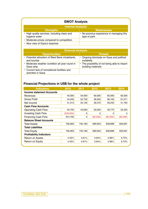#### **SWOT Analysis**

| <b>Internal Analysis</b>                                      |                                                           |  |  |
|---------------------------------------------------------------|-----------------------------------------------------------|--|--|
| <b>Strengths</b>                                              | <b>Weaknesses</b>                                         |  |  |
| • High quality services, including clean and<br>hygiene water | • No previous experience in managing this<br>type of park |  |  |
| • Moderate prices compared to competition                     |                                                           |  |  |
| • Nice view of Gaza's beaches                                 |                                                           |  |  |

| <b>External Analysis</b>                                            |                                                                     |  |  |
|---------------------------------------------------------------------|---------------------------------------------------------------------|--|--|
| <b>Opportunities</b>                                                | <b>Threats</b>                                                      |  |  |
| • Potential attraction of West Bank inhabitants,<br>and tourists    | • Ongoing blockade on Gaza and political<br>instability             |  |  |
| • Moderate weather condition all year round in<br>Gaza strip        | • The possibility of not being able to import<br>building materials |  |  |
| • Current lack of recreational facilities and<br>activities in Gaza |                                                                     |  |  |

### **Financial Projections in US\$ for the whole project**

| <b>Indicators</b>                | 2010      | 2011    | 2012     | 2013     | 2014     |  |
|----------------------------------|-----------|---------|----------|----------|----------|--|
| <b>Income statement Accounts</b> |           |         |          |          |          |  |
| Revenues                         | 45,000    | 54,000  | 60,000   | 60,000   | 63,000   |  |
| Gross Profit                     | 44,550    | 52,750  | 58,250   | 58,163   | 61,071   |  |
| Net Income                       | 31,313    | 34,120  | 39,470   | 39,245   | 41,794   |  |
| <b>Cash Flow Accounts</b>        |           |         |          |          |          |  |
| <b>Operating Cash Flow</b>       | 35,700    | 44.650  | 50,000   | 49.775   | 52,324   |  |
| <b>Investing Cash Flow</b>       | (533,000) | 0       | $\Omega$ | 0        | 0        |  |
| <b>Financing Cash Flow</b>       | 674,750   | 0       | (80,000) | (80,000) | (80,000) |  |
| <b>Balance Sheet Accounts</b>    |           |         |          |          |          |  |
| <b>Total Assets</b>              | 706,063   | 740,183 | 699,653  | 658,898  | 620,691  |  |
| <b>Total Liabilities</b>         |           |         |          |          |          |  |
| <b>Total Equity</b>              | 706,063   | 740,183 | 699,653  | 658,898  | 620,691  |  |
| <b>Profitability Indicators</b>  |           |         |          |          |          |  |
| Return on Assets                 | 4.43%     | 4.61%   | 5.64%    | 5.96%    | 6.73%    |  |
| Return on Equity                 | 4.43%     | 4.61%   | 5.64%    | 5.96%    | 6.73%    |  |
|                                  |           |         |          |          |          |  |